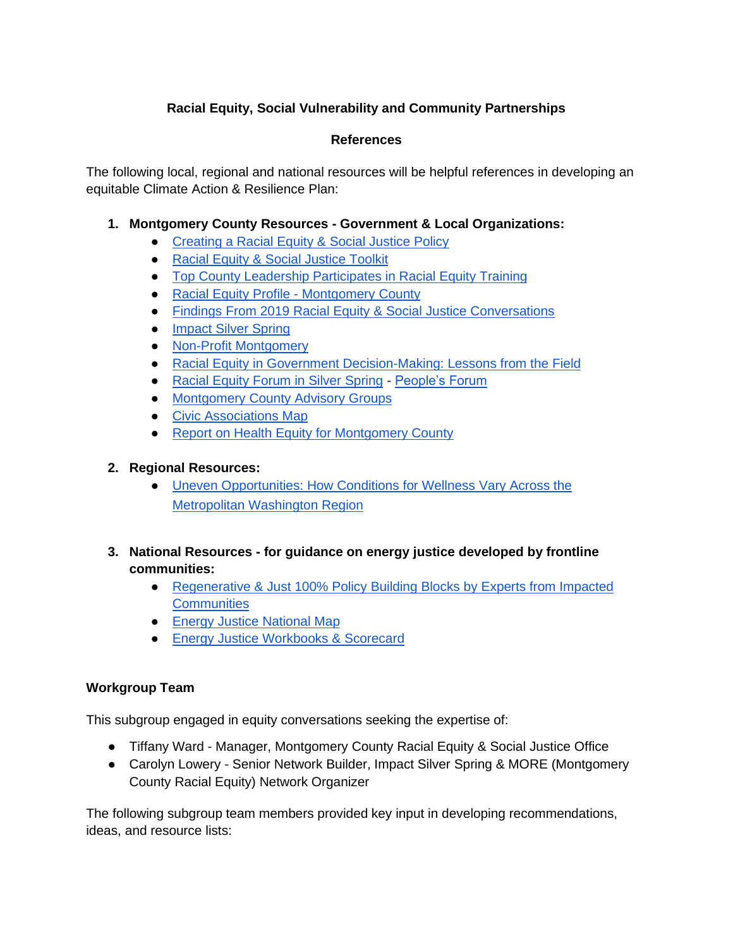# **Racial Equity, Social Vulnerability and Community Partnerships**

## **References**

The following local, regional and national resources will be helpful references in developing an equitable Climate Action & Resilience Plan:

## **1. Montgomery County Resources - Government & Local Organizations:**

- [Creating a Racial Equity & Social Justice Policy](https://www.montgomerycountymd.gov/COUNCIL/EquityMatters.html)
- [Racial Equity & Social Justice Toolkit](https://www.montgomerycountymd.gov/COUNCIL/Resources/Files/English_RESJ_ToolKit.pdf)
- [Top County Leadership Participates in Racial Equity Training](https://www2.montgomerycountymd.gov/mcgportalapps/Press_Detail.aspx?Item_ID=22730)
- [Racial Equity Profile -](https://www.montgomerycountymd.gov/OLO/Resources/Files/2019%20Reports/OLO2019-7-6_20_19.pdf) Montgomery County
- [Findings From 2019 Racial Equity & Social Justice Conversations](https://www.montgomerycountymd.gov/OLO/Resources/Files/2019%20Reports/OLOReport2019-16.pdf)
- [Impact Silver Spring](https://impactsilverspring.org/)
- [Non-Profit Montgomery](https://www.nonprofitmoco.org/members/)
- [Racial Equity in Government Decision-Making: Lessons from the Field](https://www.montgomerycountymd.gov/OLO/Resources/Files/2018%20Reports/OLOReport2018_8.pdf)
- [Racial Equity Forum in Silver Spring](https://www.mymcmedia.org/heres-what-happened-at-the-racial-equity-forum-in-silver-spring/) [People's Forum](https://www.facebook.com/events/2398646230389269/)
- [Montgomery County Advisory Groups](https://www.montgomerycountymd.gov/partnerships/advisory-groups/index.html)
- [Civic Associations Map](https://montgomeryplanning.org/tools/gis-and-mapping/interactive-maps/hoaca-tools/)
- [Report on Health Equity for Montgomery County](https://www2.montgomerycountymd.gov/mcgportalapps/Press_Detail.aspx?Item_ID=23682)

## **2. Regional Resources:**

- [Uneven Opportunities: How Conditions for Wellness Vary Across the](https://www.mwcog.org/healthindicatorsreport/)  [Metropolitan Washington Region](https://www.mwcog.org/healthindicatorsreport/)
- **3. National Resources - for guidance on energy justice developed by frontline communities:**
	- [Regenerative & Just 100% Policy Building Blocks by Experts from Impacted](https://www.100percentnetwork.org/news/428)  **[Communities](https://www.100percentnetwork.org/news/428)**
	- [Energy Justice National Map](http://www.energyjustice.net/map/nationalmap)
	- [Energy Justice Workbooks & Scorecard](https://iejusa.org/webinar-energy-justice-workbook-scorecard/)

#### **Workgroup Team**

This subgroup engaged in equity conversations seeking the expertise of:

- Tiffany Ward Manager, Montgomery County Racial Equity & Social Justice Office
- Carolyn Lowery Senior Network Builder, Impact Silver Spring & MORE (Montgomery County Racial Equity) Network Organizer

The following subgroup team members provided key input in developing recommendations, ideas, and resource lists: